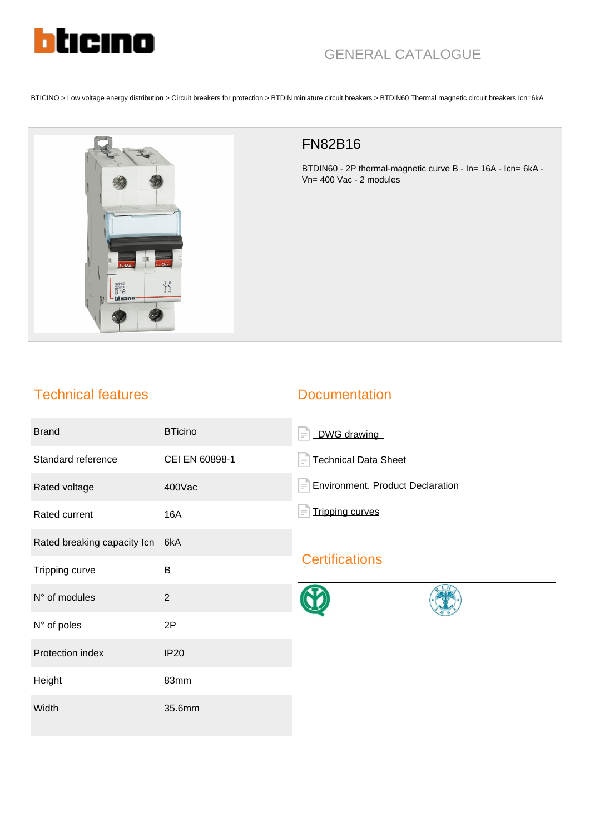

BTICINO > Low voltage energy distribution > Circuit breakers for protection > BTDIN miniature circuit breakers > BTDIN60 Thermal magnetic circuit breakers Icn=6kA



## FN82B16

BTDIN60 - 2P thermal-magnetic curve B - In= 16A - Icn= 6kA - Vn= 400 Vac - 2 modules

## Technical features

### **Documentation**

| <b>Brand</b>                | <b>BTicino</b> | DWG drawing<br>$\equiv$                             |
|-----------------------------|----------------|-----------------------------------------------------|
| Standard reference          | CEI EN 60898-1 | <b>Technical Data Sheet</b><br>$\equiv$             |
| Rated voltage               | 400Vac         | <b>Environment. Product Declaration</b><br>$\equiv$ |
| Rated current               | <b>16A</b>     | <b>Tripping curves</b>                              |
| Rated breaking capacity Icn | 6kA            | <b>Certifications</b>                               |
| Tripping curve              | B              |                                                     |
| N° of modules               | $\overline{2}$ |                                                     |
| N° of poles                 | 2P             |                                                     |
| Protection index            | <b>IP20</b>    |                                                     |
| Height                      | 83mm           |                                                     |
| Width                       | 35.6mm         |                                                     |